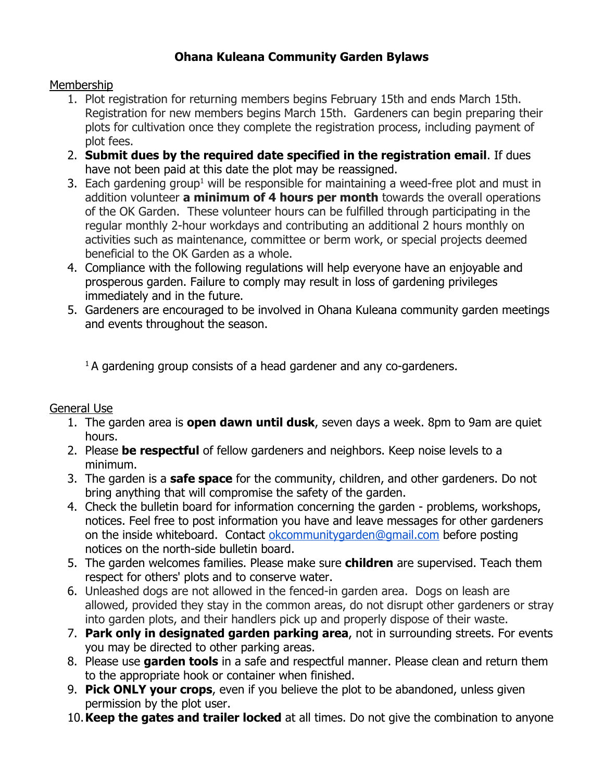## **Ohana Kuleana Community Garden Bylaws**

## Membership

- 1. Plot registration for returning members begins February 15th and ends March 15th. Registration for new members begins March 15th. Gardeners can begin preparing their plots for cultivation once they complete the registration process, including payment of plot fees.
- 2. **Submit dues by the required date specified in the registration email**. If dues have not been paid at this date the plot may be reassigned.
- 3. Each gardening group<sup>1</sup> will be responsible for maintaining a weed-free plot and must in addition volunteer **a minimum of 4 hours per month** towards the overall operations of the OK Garden. These volunteer hours can be fulfilled through participating in the regular monthly 2-hour workdays and contributing an additional 2 hours monthly on activities such as maintenance, committee or berm work, or special projects deemed beneficial to the OK Garden as a whole.
- 4. Compliance with the following regulations will help everyone have an enjoyable and prosperous garden. Failure to comply may result in loss of gardening privileges immediately and in the future.
- 5. Gardeners are encouraged to be involved in Ohana Kuleana community garden meetings and events throughout the season.

 $1$ A gardening group consists of a head gardener and any co-gardeners.

## General Use

- 1. The garden area is **open dawn until dusk**, seven days a week. 8pm to 9am are quiet hours.
- 2. Please **be respectful** of fellow gardeners and neighbors. Keep noise levels to a minimum.
- 3. The garden is a **safe space** for the community, children, and other gardeners. Do not bring anything that will compromise the safety of the garden.
- 4. Check the bulletin board for information concerning the garden problems, workshops, notices. Feel free to post information you have and leave messages for other gardeners on the inside whiteboard. Contact [okcommunitygarden@gmail.com](mailto:okcommunitygarden@gmail.com) before posting notices on the north-side bulletin board.
- 5. The garden welcomes families. Please make sure **children** are supervised. Teach them respect for others' plots and to conserve water.
- 6. Unleashed dogs are not allowed in the fenced-in garden area. Dogs on leash are allowed, provided they stay in the common areas, do not disrupt other gardeners or stray into garden plots, and their handlers pick up and properly dispose of their waste.
- 7. **Park only in designated garden parking area**, not in surrounding streets. For events you may be directed to other parking areas.
- 8. Please use **garden tools** in a safe and respectful manner. Please clean and return them to the appropriate hook or container when finished.
- 9. **Pick ONLY your crops**, even if you believe the plot to be abandoned, unless given permission by the plot user.
- 10.**Keep the gates and trailer locked** at all times. Do not give the combination to anyone